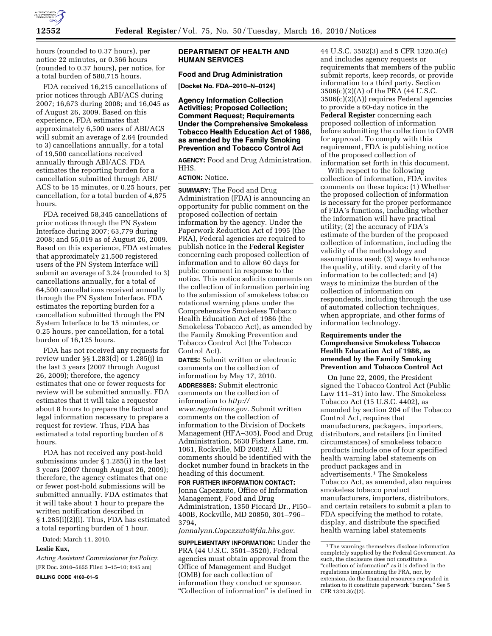

hours (rounded to 0.37 hours), per notice 22 minutes, or 0.366 hours (rounded to 0.37 hours), per notice, for a total burden of 580,715 hours.

FDA received 16,215 cancellations of prior notices through ABI/ACS during 2007; 16,673 during 2008; and 16,045 as of August 26, 2009. Based on this experience, FDA estimates that approximately 6,500 users of ABI/ACS will submit an average of 2.64 (rounded to 3) cancellations annually, for a total of 19,500 cancellations received annually through ABI/ACS. FDA estimates the reporting burden for a cancellation submitted through ABI/ ACS to be 15 minutes, or 0.25 hours, per cancellation, for a total burden of 4,875 hours.

FDA received 58,345 cancellations of prior notices through the PN System Interface during 2007; 63,779 during 2008; and 55,019 as of August 26, 2009. Based on this experience, FDA estimates that approximately 21,500 registered users of the PN System Interface will submit an average of 3.24 (rounded to 3) cancellations annually, for a total of 64,500 cancellations received annually through the PN System Interface. FDA estimates the reporting burden for a cancellation submitted through the PN System Interface to be 15 minutes, or 0.25 hours, per cancellation, for a total burden of 16,125 hours.

FDA has not received any requests for review under §§ 1.283(d) or 1.285(j) in the last 3 years (2007 through August 26, 2009); therefore, the agency estimates that one or fewer requests for review will be submitted annually. FDA estimates that it will take a requestor about 8 hours to prepare the factual and legal information necessary to prepare a request for review. Thus, FDA has estimated a total reporting burden of 8 hours.

FDA has not received any post-hold submissions under § 1.285(i) in the last 3 years (2007 through August 26, 2009); therefore, the agency estimates that one or fewer post-hold submissions will be submitted annually. FDA estimates that it will take about 1 hour to prepare the written notification described in § 1.285(i)(2)(i). Thus, FDA has estimated a total reporting burden of 1 hour.

Dated: March 11, 2010.

#### **Leslie Kux,**

*Acting Assistant Commissioner for Policy.*  [FR Doc. 2010–5655 Filed 3–15–10; 8:45 am]

**BILLING CODE 4160–01–S** 

## **DEPARTMENT OF HEALTH AND HUMAN SERVICES**

# **Food and Drug Administration**

**[Docket No. FDA–2010–N–0124]** 

**Agency Information Collection Activities; Proposed Collection; Comment Request; Requirements Under the Comprehensive Smokeless Tobacco Health Education Act of 1986, as amended by the Family Smoking Prevention and Tobacco Control Act** 

**AGENCY:** Food and Drug Administration, HHS.

## **ACTION:** Notice.

**SUMMARY:** The Food and Drug Administration (FDA) is announcing an opportunity for public comment on the proposed collection of certain information by the agency. Under the Paperwork Reduction Act of 1995 (the PRA), Federal agencies are required to publish notice in the **Federal Register**  concerning each proposed collection of information and to allow 60 days for public comment in response to the notice. This notice solicits comments on the collection of information pertaining to the submission of smokeless tobacco rotational warning plans under the Comprehensive Smokeless Tobacco Health Education Act of 1986 (the Smokeless Tobacco Act), as amended by the Family Smoking Prevention and Tobacco Control Act (the Tobacco Control Act).

**DATES:** Submit written or electronic comments on the collection of information by May 17, 2010. **ADDRESSES:** Submit electronic comments on the collection of information to *http:// www.regulations.gov*. Submit written comments on the collection of information to the Division of Dockets Management (HFA–305), Food and Drug Administration, 5630 Fishers Lane, rm. 1061, Rockville, MD 20852. All comments should be identified with the docket number found in brackets in the heading of this document.

**FOR FURTHER INFORMATION CONTACT:**  Jonna Capezzuto, Office of Information Management, Food and Drug Administration, 1350 Piccard Dr., PI50– 400B, Rockville, MD 20850, 301–796– 3794,

*Jonnalynn.Capezzuto@fda.hhs.gov*.

**SUPPLEMENTARY INFORMATION:** Under the PRA (44 U.S.C. 3501–3520), Federal agencies must obtain approval from the Office of Management and Budget (OMB) for each collection of information they conduct or sponsor. ''Collection of information'' is defined in

44 U.S.C. 3502(3) and 5 CFR 1320.3(c) and includes agency requests or requirements that members of the public submit reports, keep records, or provide information to a third party. Section 3506(c)(2)(A) of the PRA (44 U.S.C. 3506(c)(2)(A)) requires Federal agencies to provide a 60-day notice in the **Federal Register** concerning each proposed collection of information before submitting the collection to OMB for approval. To comply with this requirement, FDA is publishing notice of the proposed collection of information set forth in this document.

With respect to the following collection of information, FDA invites comments on these topics: (1) Whether the proposed collection of information is necessary for the proper performance of FDA's functions, including whether the information will have practical utility; (2) the accuracy of FDA's estimate of the burden of the proposed collection of information, including the validity of the methodology and assumptions used; (3) ways to enhance the quality, utility, and clarity of the information to be collected; and (4) ways to minimize the burden of the collection of information on respondents, including through the use of automated collection techniques, when appropriate, and other forms of information technology.

## **Requirements under the Comprehensive Smokeless Tobacco Health Education Act of 1986, as amended by the Family Smoking Prevention and Tobacco Control Act**

On June 22, 2009, the President signed the Tobacco Control Act (Public Law 111–31) into law. The Smokeless Tobacco Act (15 U.S.C. 4402), as amended by section 204 of the Tobacco Control Act, requires that manufacturers, packagers, importers, distributors, and retailers (in limited circumstances) of smokeless tobacco products include one of four specified health warning label statements on product packages and in advertisements.1 The Smokeless Tobacco Act, as amended, also requires smokeless tobacco product manufacturers, importers, distributors, and certain retailers to submit a plan to FDA specifying the method to rotate, display, and distribute the specified health warning label statements

<sup>1</sup>The warnings themselves disclose information completely supplied by the Federal Government. As such, the disclosure does not constitute a "collection of information" as it is defined in the regulations implementing the PRA, nor, by extension, do the financial resources expended in relation to it constitute paperwork "burden." See 5 CFR 1320.3(c)(2).